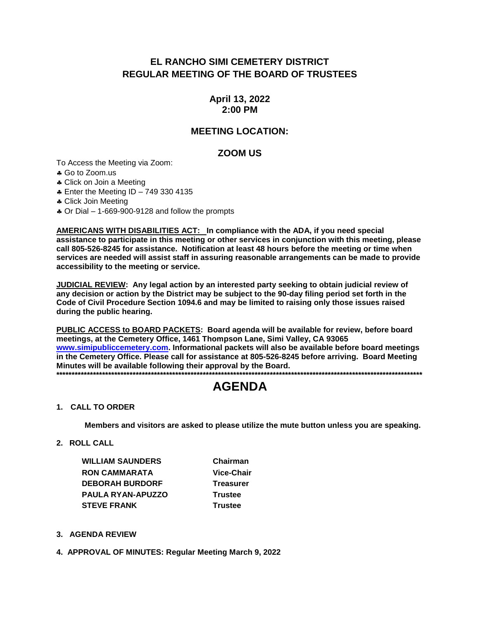# EL RANCHO SIMI CEMETERY DISTRICT **REGULAR MEETING OF THE BOARD OF TRUSTEES**

# April 13, 2022  $2:00$  PM

## **MEETING LOCATION:**

## **ZOOM US**

To Access the Meeting via Zoom:

\* Go to Zoom.us

\* Click on Join a Meeting

**4 Enter the Meeting ID - 749 330 4135** 

\* Click Join Meeting

\* Or Dial - 1-669-900-9128 and follow the prompts

**AMERICANS WITH DISABILITIES ACT:** In compliance with the ADA, if you need special assistance to participate in this meeting or other services in conjunction with this meeting, please call 805-526-8245 for assistance. Notification at least 48 hours before the meeting or time when services are needed will assist staff in assuring reasonable arrangements can be made to provide accessibility to the meeting or service.

JUDICIAL REVIEW: Any legal action by an interested party seeking to obtain judicial review of any decision or action by the District may be subject to the 90-day filing period set forth in the Code of Civil Procedure Section 1094.6 and may be limited to raising only those issues raised during the public hearing.

PUBLIC ACCESS to BOARD PACKETS: Board agenda will be available for review, before board meetings, at the Cemetery Office, 1461 Thompson Lane, Simi Valley, CA 93065 www.simipubliccemetery.com. Informational packets will also be available before board meetings in the Cemetery Office. Please call for assistance at 805-526-8245 before arriving. Board Meeting Minutes will be available following their approval by the Board. 

# **AGENDA**

#### 1. CALL TO ORDER

Members and visitors are asked to please utilize the mute button unless you are speaking.

2. ROLL CALL

**WILLIAM SAUNDERS RON CAMMARATA DEBORAH BURDORF** PAULA RYAN-APUZZO **STEVE FRANK** 

Chairman **Vice-Chair Treasurer Trustee Trustee** 

#### 3. AGENDA REVIEW

4. APPROVAL OF MINUTES: Regular Meeting March 9, 2022